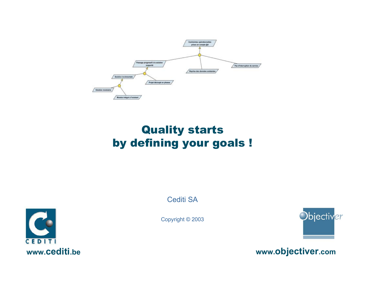

# Quality starts by defining your goals !

Cediti SA

Copyright © 2003





**www.objectiver.com**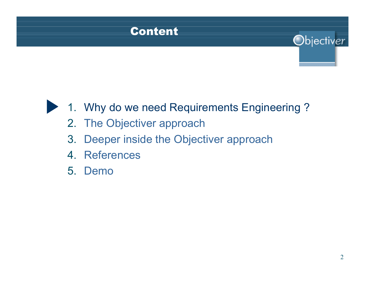# Content

# 1. Why do we need Requirements Engineering ?

- 2. The Objectiver approach
- 3. Deeper inside the Objectiver approach
- 4. References
- 5. Demo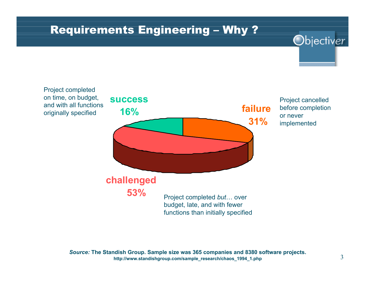#### Requirements Engineering – Why ?

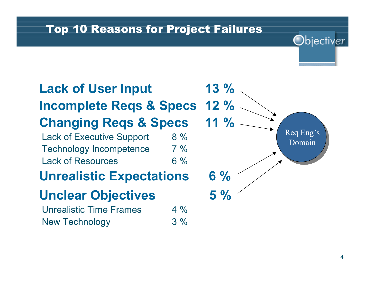#### Top 10 Reasons for Project Failures

# **Lack of User Input 13 % Incomplete Reqs & Specs 12 % Changing Reqs & Specs 11 %** Lack of Executive Support 8 % Technology Incompetence 7 % Lack of Resources 6 % **Unrealistic Expectations 6 % Unclear Objectives 5 %** Unrealistic Time Frames 4 % New Technology 3 %

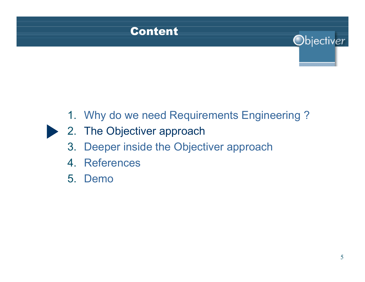

# 1. Why do we need Requirements Engineering ?

- 2. The Objectiver approach
- 3. Deeper inside the Objectiver approach
- 4. References
- 5. Demo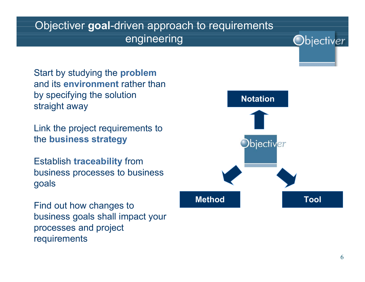#### Objectiver **goal**-driven approach to requirements engineering

Start by studying the **problem** and its **environment** rather than by specifying the solution straight away

Link the project requirements to the **business strategy**

Establish **traceability** from business processes to business goals

Find out how changes to business goals shall impact your processes and project requirements

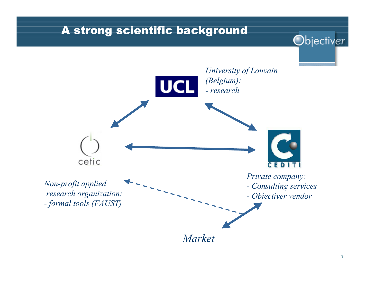#### A strong scientific background

*University of Louvain (Belgium):* **UCI** *- research* cetic CEDITI *Private company: Non-profit applied - Consulting services research organization: - Objectiver vendor - formal tools (FAUST)*

*Market*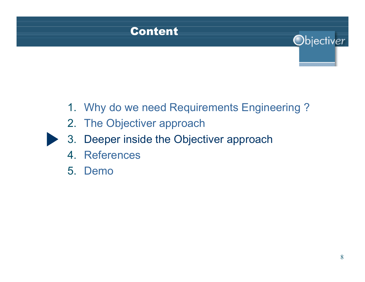

# 1. Why do we need Requirements Engineering ?

- 2. The Objectiver approach
- 3. Deeper inside the Objectiver approach
- 4. References
- 5. Demo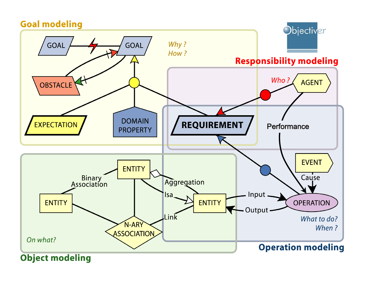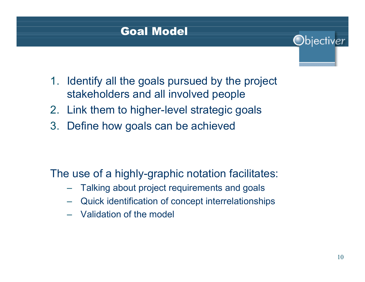# Goal Model

- 1. Identify all the goals pursued by the project stakeholders and all involved people
- 2. Link them to higher-level strategic goals
- 3. Define how goals can be achieved

The use of a highly-graphic notation facilitates:

- Talking about project requirements and goals
- Quick identification of concept interrelationships
- Validation of the model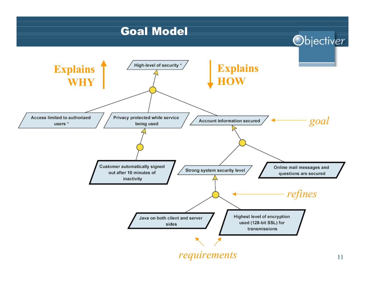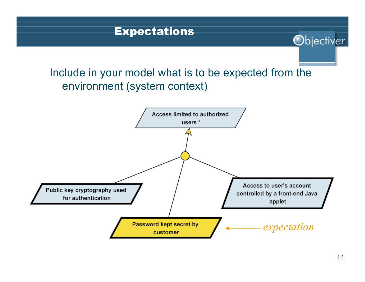# Include in your model what is to be expected from the environment (system context)

**Expectations** 

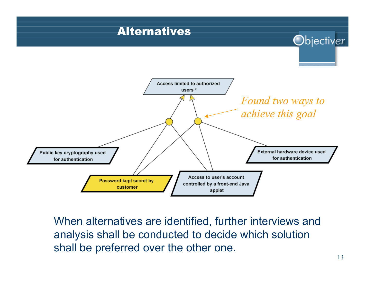# Alternatives



When alternatives are identified, further interviews and analysis shall be conducted to decide which solution shall be preferred over the other one.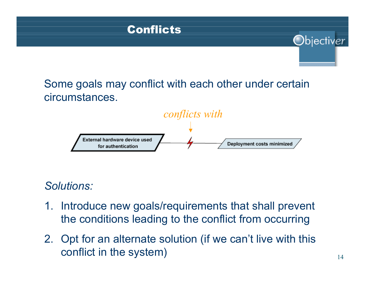# Conflicts Objectiver Some goals may conflict with each other under certain circumstances.



# *Solutions:*

- 1. Introduce new goals/requirements that shall prevent the conditions leading to the conflict from occurring
- 2. Opt for an alternate solution (if we can't live with this conflict in the system)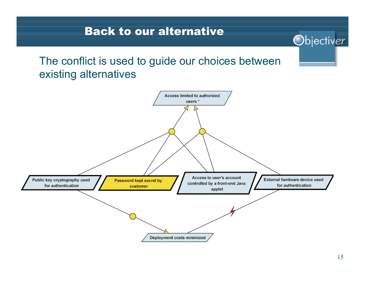#### Back to our alternative

#### The conflict is used to guide our choices between existing alternatives

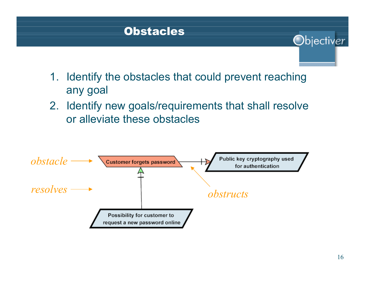#### **Obstacles**

- 1. Identify the obstacles that could prevent reaching any goal
- 2. Identify new goals/requirements that shall resolve or alleviate these obstacles

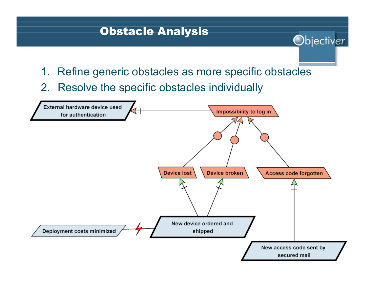#### Obstacle Analysis

1. Refine generic obstacles as more specific obstacles

Objectiver

2. Resolve the specific obstacles individually

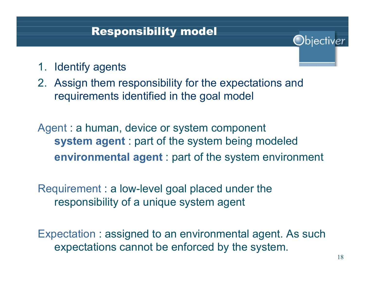#### Responsibility model

- 1. Identify agents
- 2. Assign them responsibility for the expectations and requirements identified in the goal model

Agent : a human, device or system component **system agent** : part of the system being modeled **environmental agent** : part of the system environment

Requirement : a low-level goal placed under the responsibility of a unique system agent

Expectation : assigned to an environmental agent. As such expectations cannot be enforced by the system.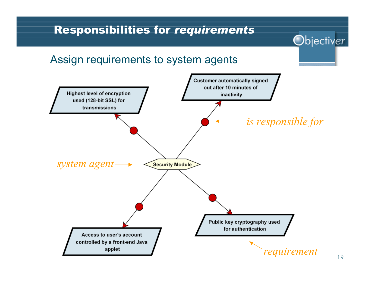# Responsibilities for *requirements* Objectiver Assign requirements to system agents**Customer automatically signed** out after 10 minutes of **Highest level of encryption** inactivity used (128-bit SSL) for transmissions *is responsible for system agent* **Security Module** Public key cryptography used for authentication Access to user's account controlled by a front-end Java applet *requirement*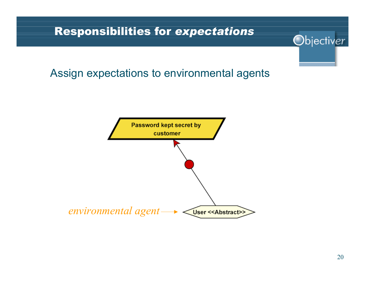#### Responsibilities for *expectations*

#### Assign expectations to environmental agents

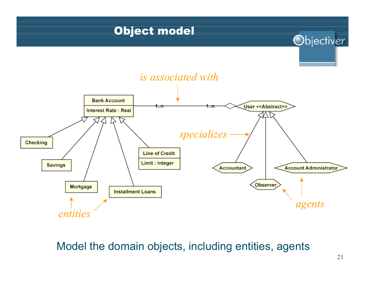

#### Model the domain objects, including entities, agents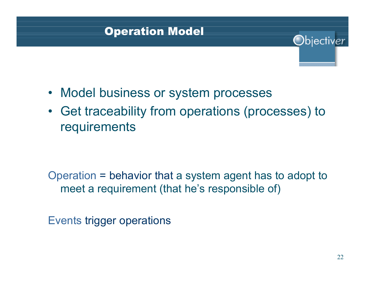# Operation Model

- Model business or system processes
- Get traceability from operations (processes) to requirements

Operation = behavior that a system agent has to adopt to meet a requirement (that he's responsible of)

Events trigger operations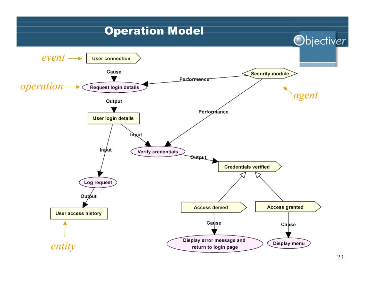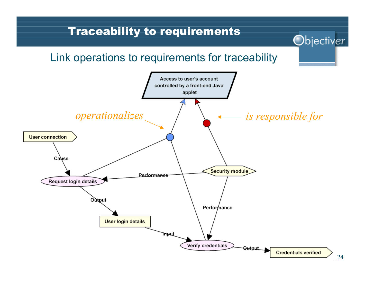#### Traceability to requirements

#### Link operations to requirements for traceability

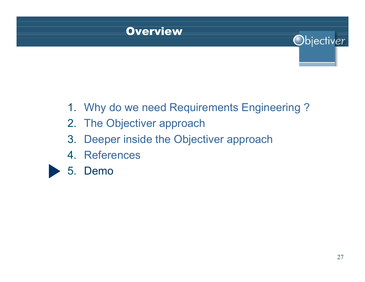### Overview

- 1. Why do we need Requirements Engineering ?
- 2. The Objectiver approach
- 3. Deeper inside the Objectiver approach
- 4. References



5. Demo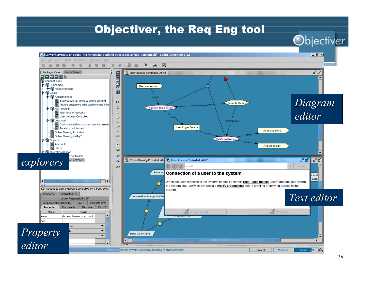#### Objectiver, the Req Eng tool

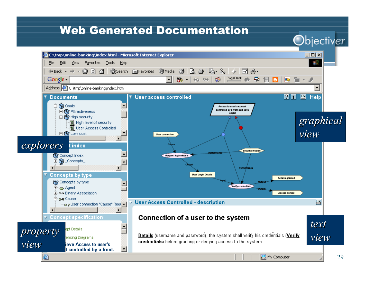#### Web Generated Documentation

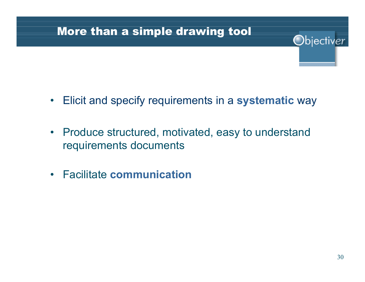## More than a simple drawing tool

- Elicit and specify requirements in a **systematic** way
- $\bullet$  Produce structured, motivated, easy to understand requirements documents
- Facilitate **communication**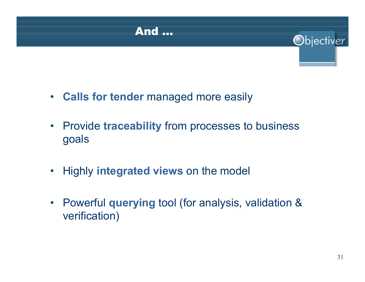

- **Calls for tender** managed more easily
- Provide **traceability** from processes to business goals
- •Highly **integrated views** on the model
- • Powerful **querying** tool (for analysis, validation & verification)